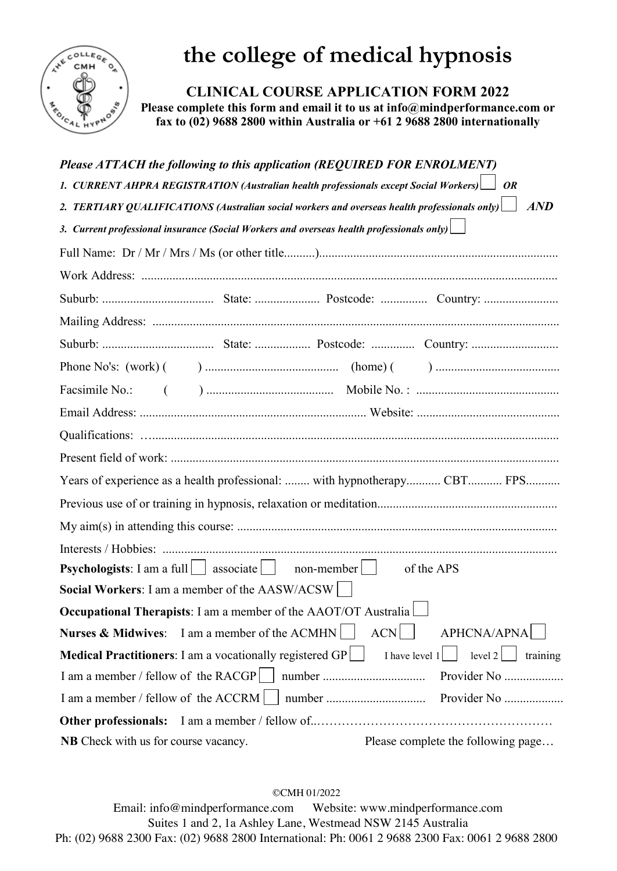

## **the college of medical hypnosis**

**CLINICAL COURSE APPLICATION FORM 2022**

**Please complete this form and email it to us at info@mindperformance.com or fax to (02) 9688 2800 within Australia or +61 2 9688 2800 internationally** 

| Please ATTACH the following to this application (REQUIRED FOR ENROLMENT)                                 |                  |                                    |
|----------------------------------------------------------------------------------------------------------|------------------|------------------------------------|
| 1. CURRENT AHPRA REGISTRATION (Australian health professionals except Social Workers)   OR               |                  |                                    |
| 2. TERTIARY QUALIFICATIONS (Australian social workers and overseas health professionals only) $\Box$ AND |                  |                                    |
| 3. Current professional insurance (Social Workers and overseas health professionals only) $\Box$         |                  |                                    |
|                                                                                                          |                  |                                    |
|                                                                                                          |                  |                                    |
|                                                                                                          |                  |                                    |
|                                                                                                          |                  |                                    |
|                                                                                                          |                  |                                    |
|                                                                                                          |                  |                                    |
|                                                                                                          |                  |                                    |
|                                                                                                          |                  |                                    |
|                                                                                                          |                  |                                    |
|                                                                                                          |                  |                                    |
| Years of experience as a health professional:  with hypnotherapy CBT FPS                                 |                  |                                    |
|                                                                                                          |                  |                                    |
|                                                                                                          |                  |                                    |
|                                                                                                          |                  |                                    |
| <b>Psychologists</b> : I am a full $\Box$ associate $\Box$ non-member                                    |                  | of the APS                         |
| Social Workers: I am a member of the AASW/ACSW                                                           |                  |                                    |
| <b>Occupational Therapists:</b> I am a member of the AAOT/OT Australia                                   |                  |                                    |
| Nurses & Midwives: I am a member of the ACMHN                                                            | <b>ACN</b>       | <b>APHCNA/APNA</b>                 |
| <b>Medical Practitioners:</b> I am a vocationally registered GP $\Box$                                   | I have level $1$ | level $2$    <br>training          |
| I am a member / fellow of the RACGP     number                                                           |                  | Provider No                        |
| I am a member / fellow of the ACCRM                                                                      |                  |                                    |
| Other professionals:                                                                                     |                  |                                    |
| <b>NB</b> Check with us for course vacancy.                                                              |                  | Please complete the following page |

©CMH 01/2022

Email: info@mindperformance.com Website: www.mindperformance.com Suites 1 and 2, 1a Ashley Lane, Westmead NSW 2145 Australia Ph: (02) 9688 2300 Fax: (02) 9688 2800 International: Ph: 0061 2 9688 2300 Fax: 0061 2 9688 2800